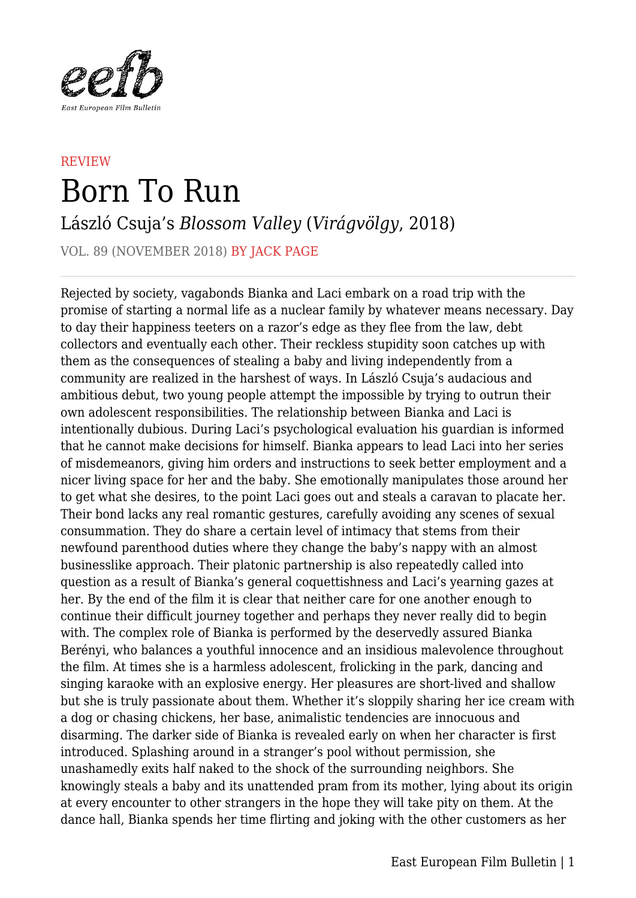

## **REVIEW** Born To Run

László Csuja's *Blossom Valley* (*Virágvölgy*, 2018)

VOL. 89 (NOVEMBER 2018) BY JACK PAGE

Rejected by society, vagabonds Bianka and Laci embark on a road trip with the promise of starting a normal life as a nuclear family by whatever means necessary. Day to day their happiness teeters on a razor's edge as they flee from the law, debt collectors and eventually each other. Their reckless stupidity soon catches up with them as the consequences of stealing a baby and living independently from a community are realized in the harshest of ways. In László Csuja's audacious and ambitious debut, two young people attempt the impossible by trying to outrun their own adolescent responsibilities. The relationship between Bianka and Laci is intentionally dubious. During Laci's psychological evaluation his guardian is informed that he cannot make decisions for himself. Bianka appears to lead Laci into her series of misdemeanors, giving him orders and instructions to seek better employment and a nicer living space for her and the baby. She emotionally manipulates those around her to get what she desires, to the point Laci goes out and steals a caravan to placate her. Their bond lacks any real romantic gestures, carefully avoiding any scenes of sexual consummation. They do share a certain level of intimacy that stems from their newfound parenthood duties where they change the baby's nappy with an almost businesslike approach. Their platonic partnership is also repeatedly called into question as a result of Bianka's general coquettishness and Laci's yearning gazes at her. By the end of the film it is clear that neither care for one another enough to continue their difficult journey together and perhaps they never really did to begin with. The complex role of Bianka is performed by the deservedly assured Bianka Berényi, who balances a youthful innocence and an insidious malevolence throughout the film. At times she is a harmless adolescent, frolicking in the park, dancing and singing karaoke with an explosive energy. Her pleasures are short-lived and shallow but she is truly passionate about them. Whether it's sloppily sharing her ice cream with a dog or chasing chickens, her base, animalistic tendencies are innocuous and disarming. The darker side of Bianka is revealed early on when her character is first introduced. Splashing around in a stranger's pool without permission, she unashamedly exits half naked to the shock of the surrounding neighbors. She knowingly steals a baby and its unattended pram from its mother, lying about its origin at every encounter to other strangers in the hope they will take pity on them. At the dance hall, Bianka spends her time flirting and joking with the other customers as her